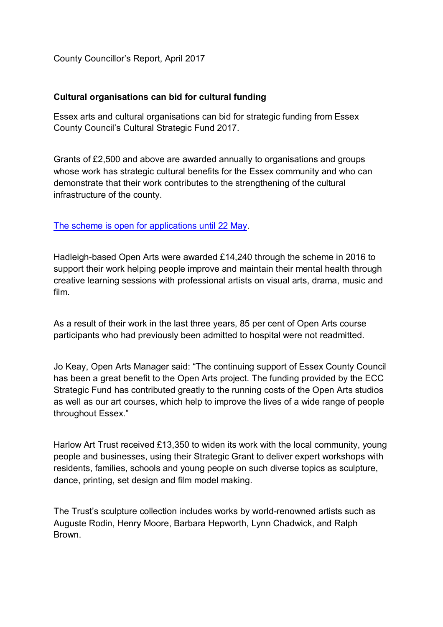County Councillor's Report, April 2017

## **Cultural organisations can bid for cultural funding**

Essex arts and cultural organisations can bid for strategic funding from Essex County Council's Cultural Strategic Fund 2017.

Grants of £2,500 and above are awarded annually to organisations and groups whose work has strategic cultural benefits for the Essex community and who can demonstrate that their work contributes to the strengthening of the cultural infrastructure of the county.

The scheme is open for applications until 22 May.

Hadleigh-based Open Arts were awarded £14,240 through the scheme in 2016 to support their work helping people improve and maintain their mental health through creative learning sessions with professional artists on visual arts, drama, music and film.

As a result of their work in the last three years, 85 per cent of Open Arts course participants who had previously been admitted to hospital were not readmitted.

Jo Keay, Open Arts Manager said: "The continuing support of Essex County Council has been a great benefit to the Open Arts project. The funding provided by the ECC Strategic Fund has contributed greatly to the running costs of the Open Arts studios as well as our art courses, which help to improve the lives of a wide range of people throughout Essex."

Harlow Art Trust received £13,350 to widen its work with the local community, young people and businesses, using their Strategic Grant to deliver expert workshops with residents, families, schools and young people on such diverse topics as sculpture, dance, printing, set design and film model making.

The Trust's sculpture collection includes works by world-renowned artists such as Auguste Rodin, Henry Moore, Barbara Hepworth, Lynn Chadwick, and Ralph Brown.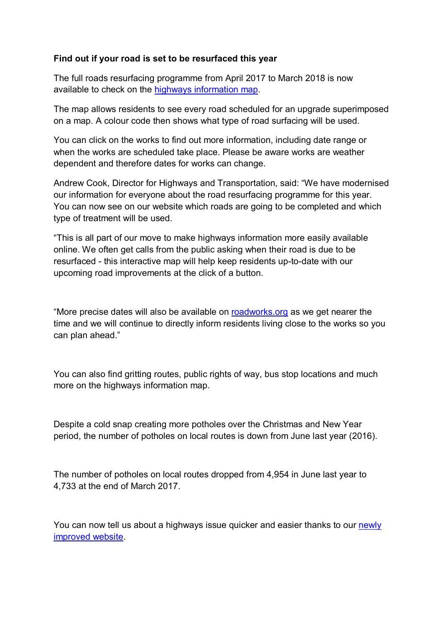## **Find out if your road is set to be resurfaced this year**

The full roads resurfacing programme from April 2017 to March 2018 is now available to check on the highways information map.

The map allows residents to see every road scheduled for an upgrade superimposed on a map. A colour code then shows what type of road surfacing will be used.

You can click on the works to find out more information, including date range or when the works are scheduled take place. Please be aware works are weather dependent and therefore dates for works can change.

Andrew Cook, Director for Highways and Transportation, said: "We have modernised our information for everyone about the road resurfacing programme for this year. You can now see on our website which roads are going to be completed and which type of treatment will be used.

"This is all part of our move to make highways information more easily available online. We often get calls from the public asking when their road is due to be resurfaced - this interactive map will help keep residents up-to-date with our upcoming road improvements at the click of a button.

"More precise dates will also be available on roadworks.org as we get nearer the time and we will continue to directly inform residents living close to the works so you can plan ahead."

You can also find gritting routes, public rights of way, bus stop locations and much more on the highways information map.

Despite a cold snap creating more potholes over the Christmas and New Year period, the number of potholes on local routes is down from June last year (2016).

The number of potholes on local routes dropped from 4,954 in June last year to 4,733 at the end of March 2017.

You can now tell us about a highways issue quicker and easier thanks to our newly improved website.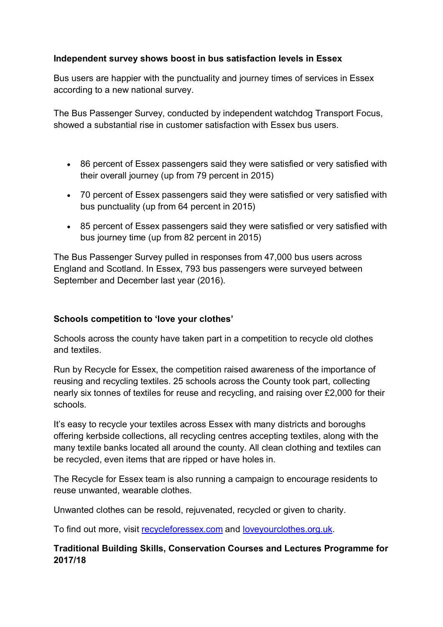# **Independent survey shows boost in bus satisfaction levels in Essex**

Bus users are happier with the punctuality and journey times of services in Essex according to a new national survey.

The Bus Passenger Survey, conducted by independent watchdog Transport Focus, showed a substantial rise in customer satisfaction with Essex bus users.

- 86 percent of Essex passengers said they were satisfied or very satisfied with their overall journey (up from 79 percent in 2015)
- 70 percent of Essex passengers said they were satisfied or very satisfied with bus punctuality (up from 64 percent in 2015)
- 85 percent of Essex passengers said they were satisfied or very satisfied with bus journey time (up from 82 percent in 2015)

The Bus Passenger Survey pulled in responses from 47,000 bus users across England and Scotland. In Essex, 793 bus passengers were surveyed between September and December last year (2016).

## **Schools competition to 'love your clothes'**

Schools across the county have taken part in a competition to recycle old clothes and textiles.

Run by Recycle for Essex, the competition raised awareness of the importance of reusing and recycling textiles. 25 schools across the County took part, collecting nearly six tonnes of textiles for reuse and recycling, and raising over £2,000 for their schools.

It's easy to recycle your textiles across Essex with many districts and boroughs offering kerbside collections, all recycling centres accepting textiles, along with the many textile banks located all around the county. All clean clothing and textiles can be recycled, even items that are ripped or have holes in.

The Recycle for Essex team is also running a campaign to encourage residents to reuse unwanted, wearable clothes.

Unwanted clothes can be resold, rejuvenated, recycled or given to charity.

To find out more, visit recycleforessex.com and loveyourclothes.org.uk.

# **Traditional Building Skills, Conservation Courses and Lectures Programme for 2017/18**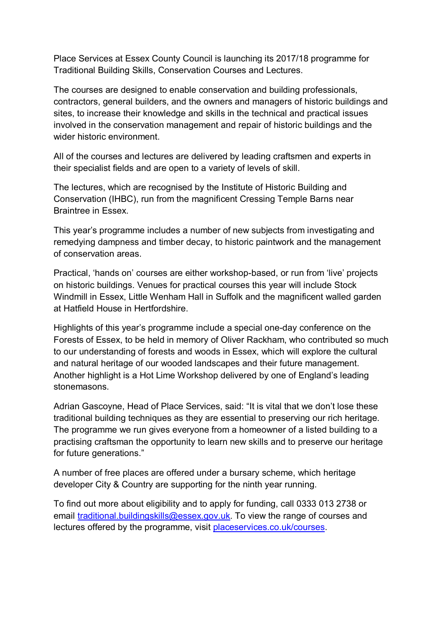Place Services at Essex County Council is launching its 2017/18 programme for Traditional Building Skills, Conservation Courses and Lectures.

The courses are designed to enable conservation and building professionals, contractors, general builders, and the owners and managers of historic buildings and sites, to increase their knowledge and skills in the technical and practical issues involved in the conservation management and repair of historic buildings and the wider historic environment.

All of the courses and lectures are delivered by leading craftsmen and experts in their specialist fields and are open to a variety of levels of skill.

The lectures, which are recognised by the Institute of Historic Building and Conservation (IHBC), run from the magnificent Cressing Temple Barns near Braintree in Essex.

This year's programme includes a number of new subjects from investigating and remedying dampness and timber decay, to historic paintwork and the management of conservation areas.

Practical, 'hands on' courses are either workshop-based, or run from 'live' projects on historic buildings. Venues for practical courses this year will include Stock Windmill in Essex, Little Wenham Hall in Suffolk and the magnificent walled garden at Hatfield House in Hertfordshire.

Highlights of this year's programme include a special one-day conference on the Forests of Essex, to be held in memory of Oliver Rackham, who contributed so much to our understanding of forests and woods in Essex, which will explore the cultural and natural heritage of our wooded landscapes and their future management. Another highlight is a Hot Lime Workshop delivered by one of England's leading stonemasons.

Adrian Gascoyne, Head of Place Services, said: "It is vital that we don't lose these traditional building techniques as they are essential to preserving our rich heritage. The programme we run gives everyone from a homeowner of a listed building to a practising craftsman the opportunity to learn new skills and to preserve our heritage for future generations."

A number of free places are offered under a bursary scheme, which heritage developer City & Country are supporting for the ninth year running.

To find out more about eligibility and to apply for funding, call 0333 013 2738 or email traditional.buildingskills@essex.gov.uk. To view the range of courses and lectures offered by the programme, visit placeservices.co.uk/courses.